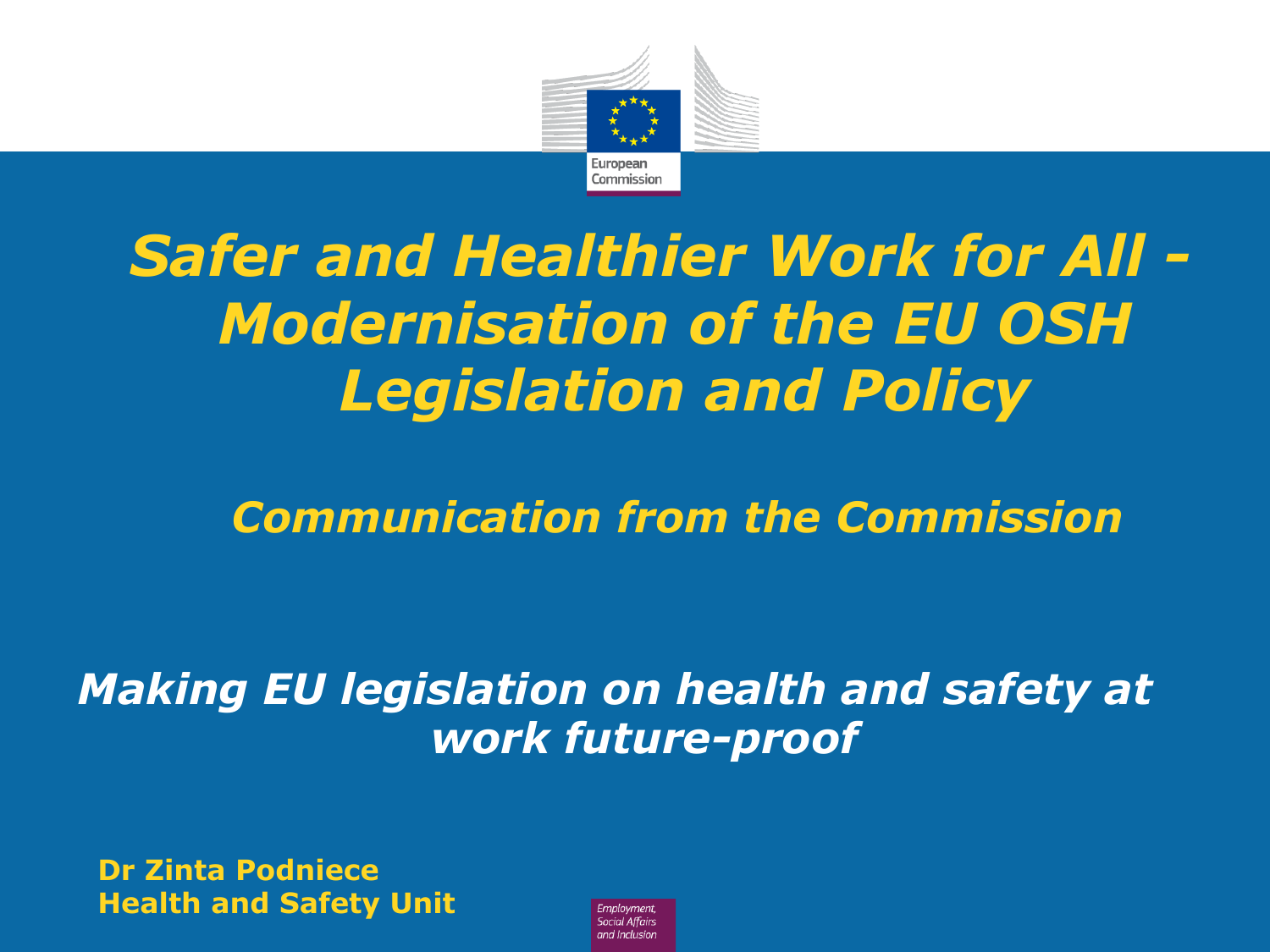

*Communication from the Commission* 

#### *Making EU legislation on health and safety at work future-proof*

**Dr Zinta Podniece Health and Safety Unit** 

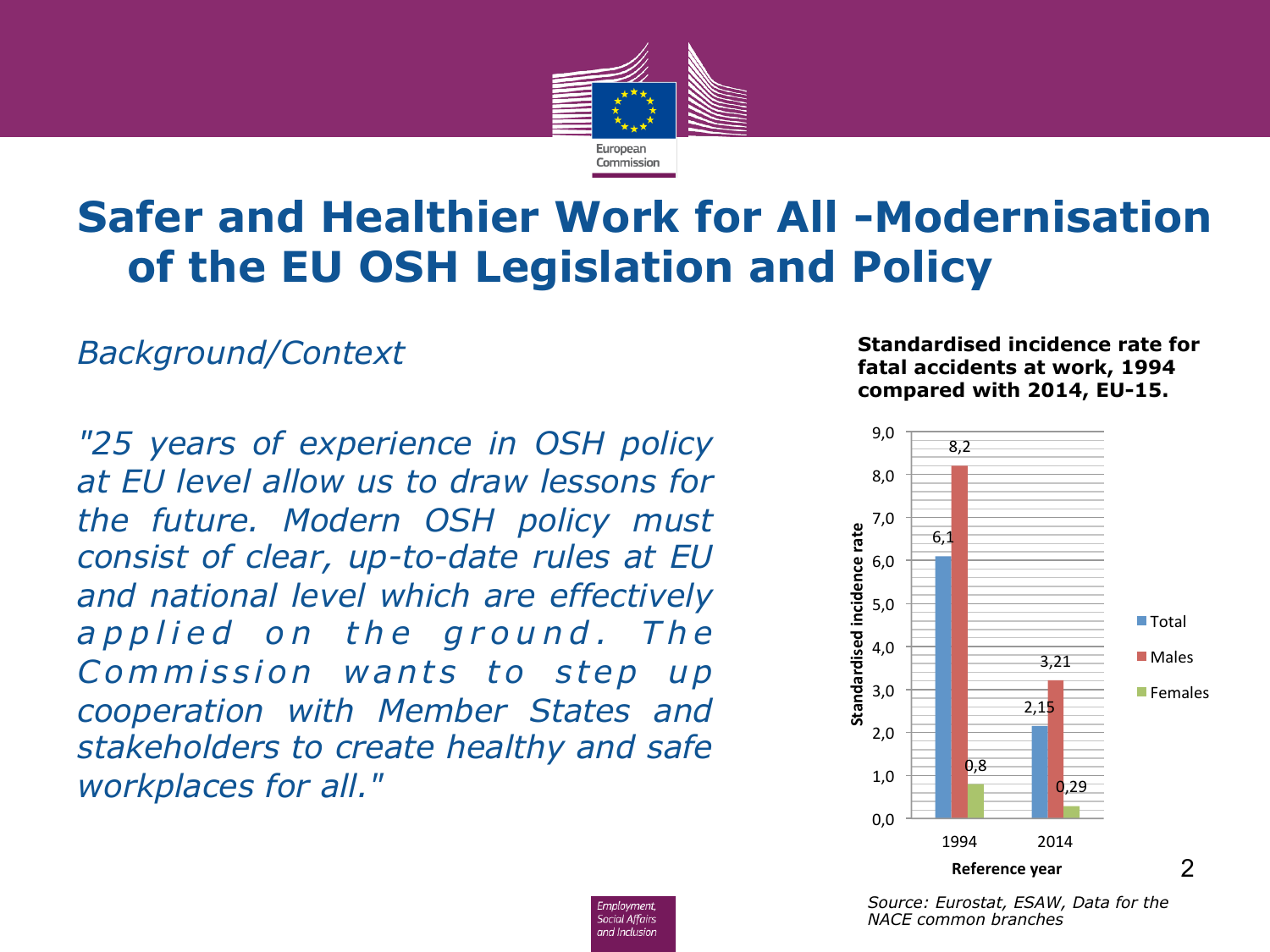

Employment. **Social Affairs** and Inclusion

#### *Background/Context*

*"25 years of experience in OSH policy at EU level allow us to draw lessons for the future. Modern OSH policy must consist of clear, up-to-date rules at EU and national level which are effectively*  a p p lied on the ground. The *Commission wants to step up cooperation with Member States and stakeholders to create healthy and safe workplaces for all."* 

#### **Standardised incidence rate for fatal accidents at work, 1994 compared with 2014, EU-15.**



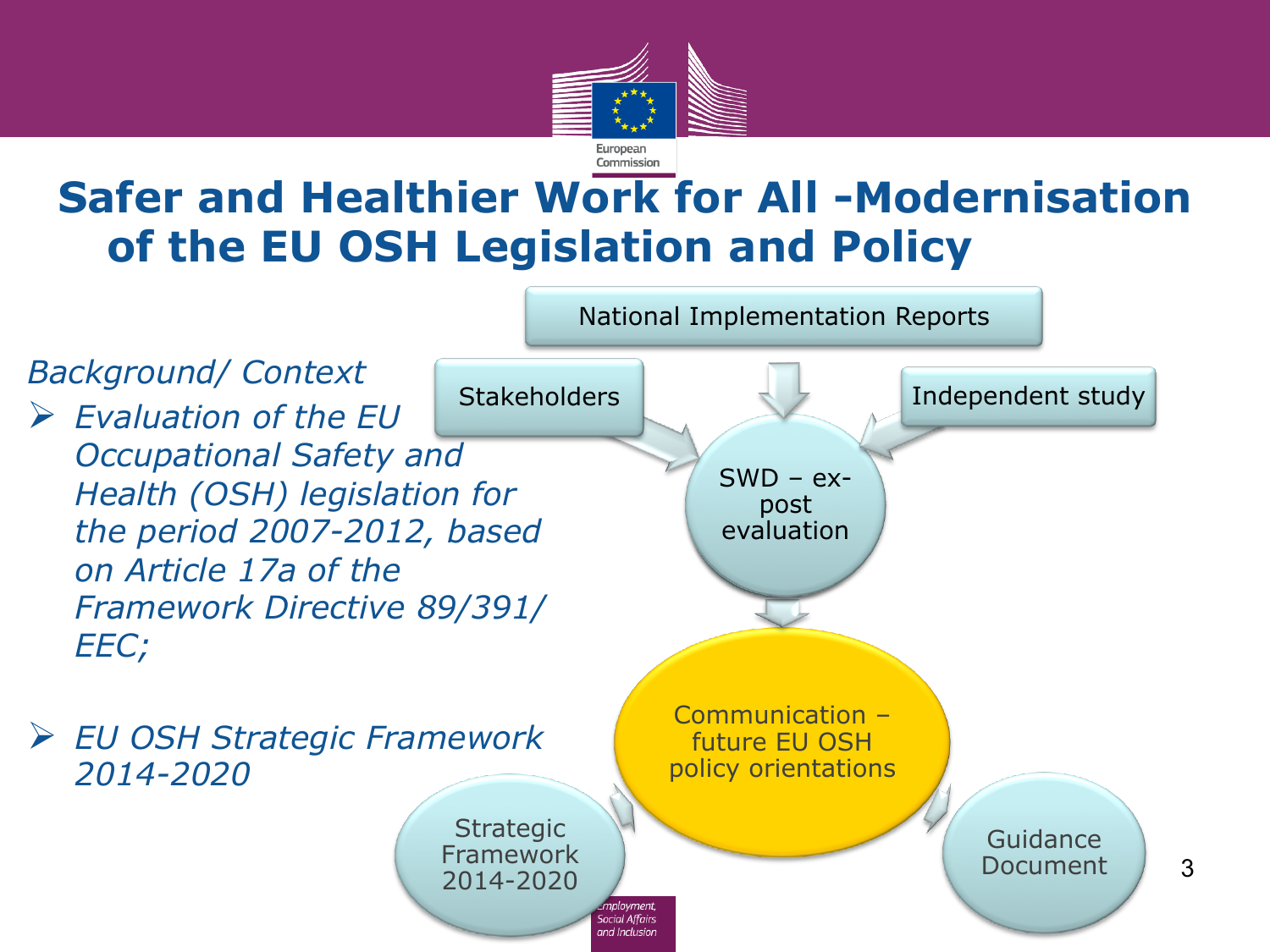

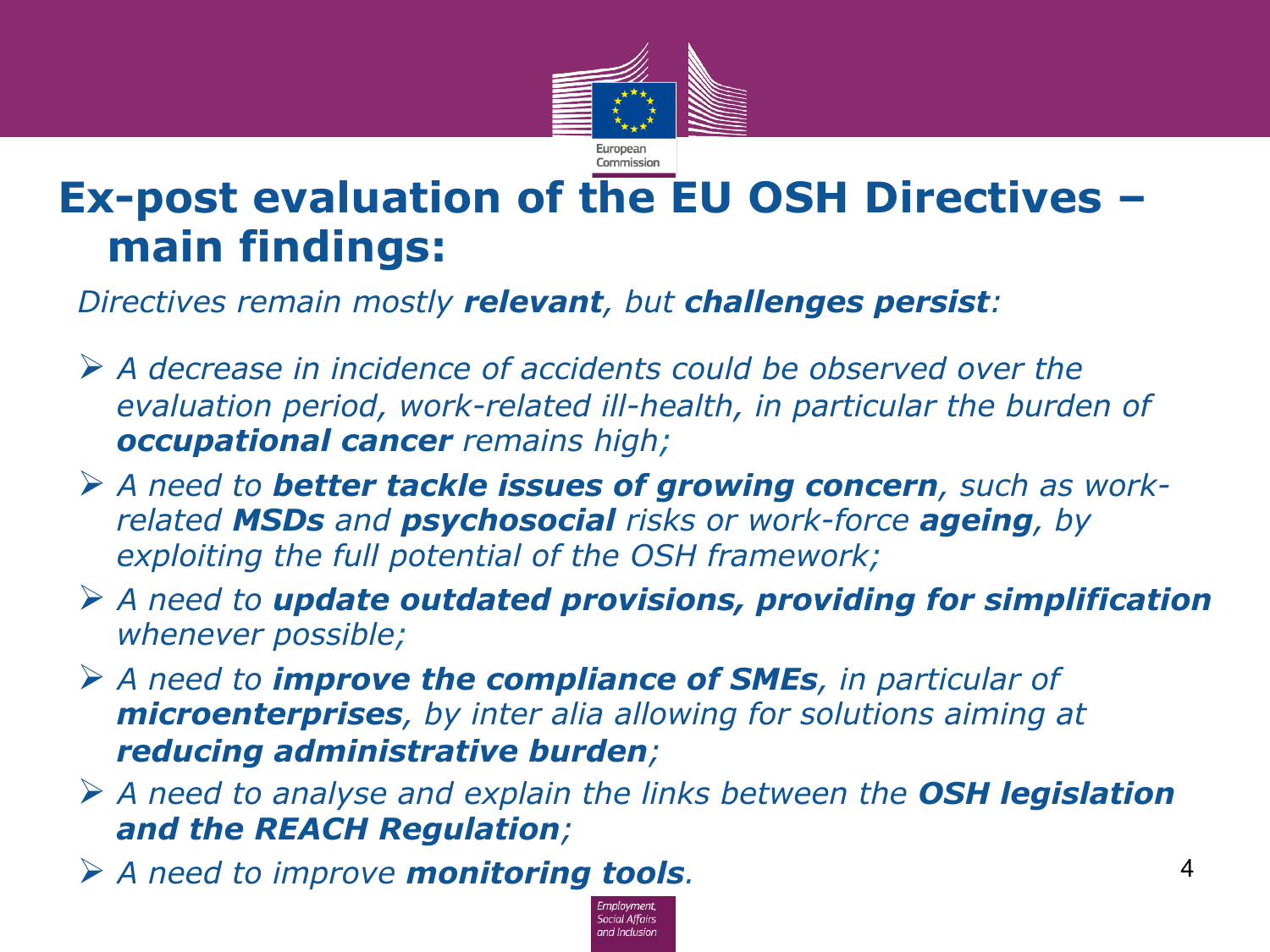

#### **Ex-post evaluation of the EU OSH Directives – main findings:**

*Directives remain mostly relevant, but challenges persist:* 

- Ø *A decrease in incidence of accidents could be observed over the*  evaluation period, work-related ill-health, in particular the burden of *occupational cancer remains high;*
- Ø *A need to better tackle issues of growing concern, such as workrelated MSDs and psychosocial risks or work-force ageing, by exploiting the full potential of the OSH framework;*
- Ø *A need to update outdated provisions, providing for simplification whenever possible;*
- Ø *A need to improve the compliance of SMEs, in particular of microenterprises, by inter alia allowing for solutions aiming at reducing administrative burden;*
- Ø *A need to analyse and explain the links between the OSH legislation and the REACH Regulation;*
- Ø *A need to improve monitoring tools.*

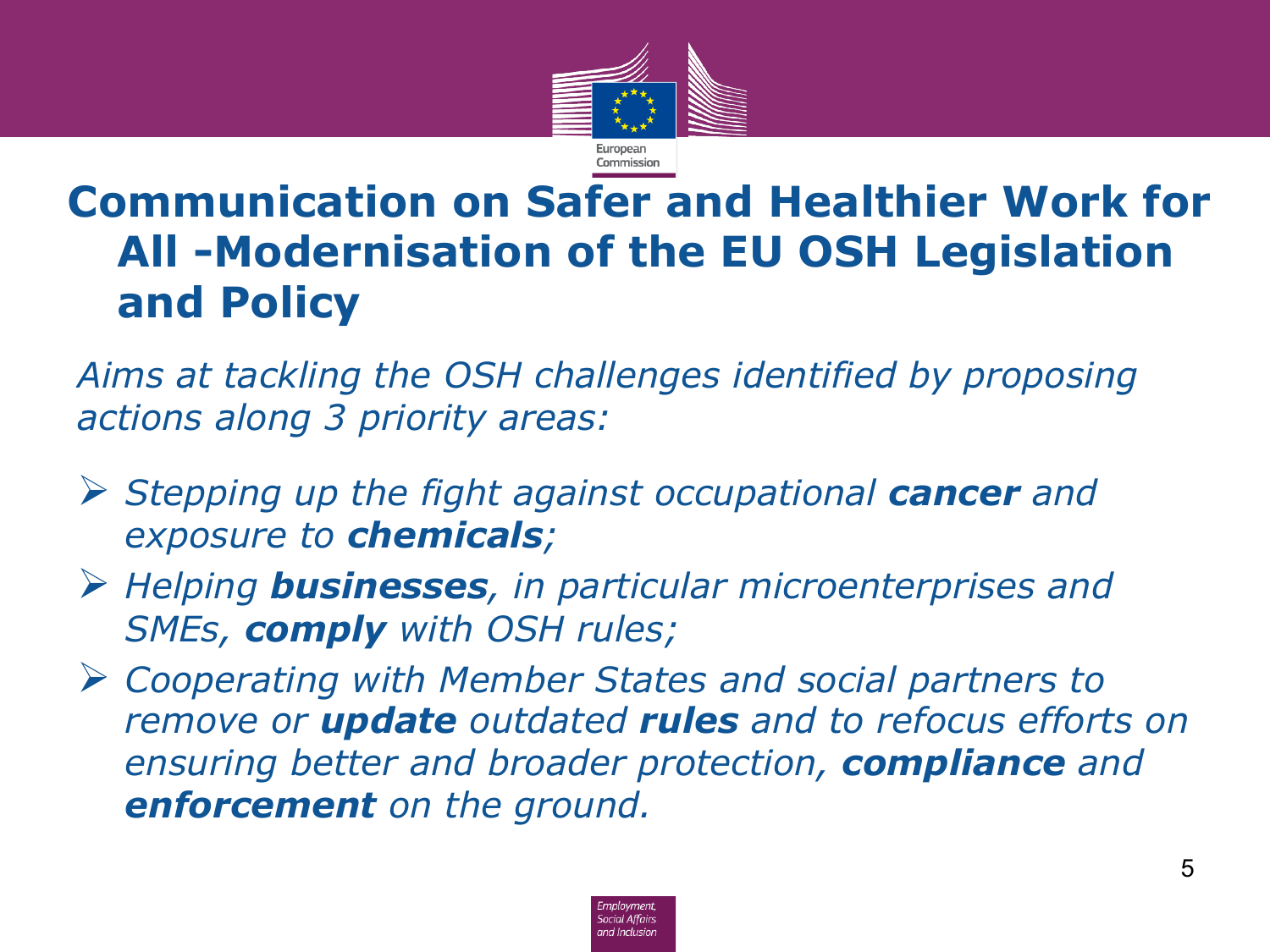

*Aims at tackling the OSH challenges identified by proposing actions along 3 priority areas:* 

- Ø *Stepping up the fight against occupational cancer and exposure to chemicals;*
- Ø *Helping businesses, in particular microenterprises and SMEs, comply with OSH rules;*
- Ø *Cooperating with Member States and social partners to remove or update outdated rules and to refocus efforts on ensuring better and broader protection, compliance and enforcement on the ground.*

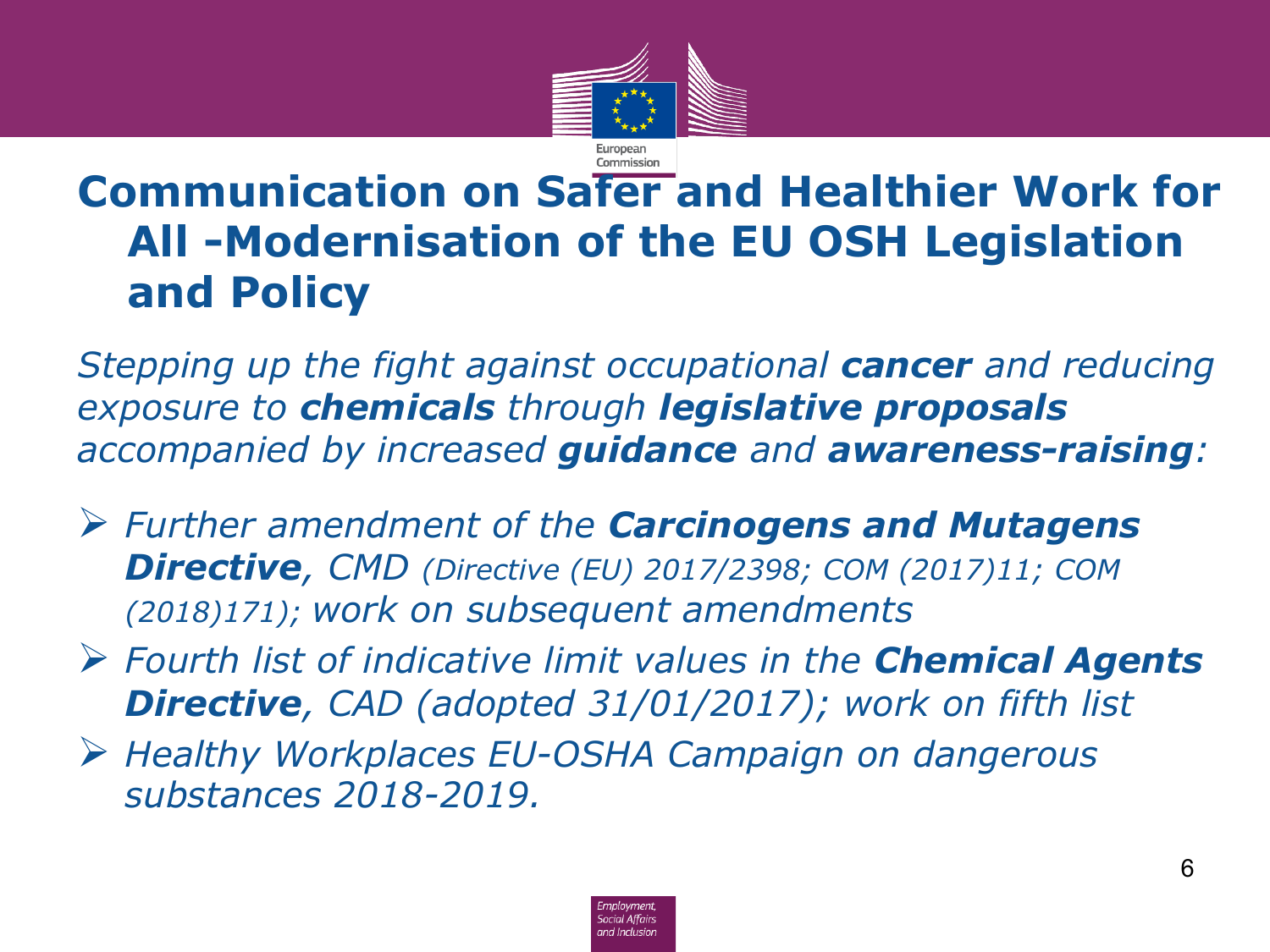

*Stepping up the fight against occupational cancer and reducing exposure to chemicals through legislative proposals accompanied by increased guidance and awareness-raising:* 

- Ø *Further amendment of the Carcinogens and Mutagens Directive, CMD (Directive (EU) 2017/2398; COM (2017)11; COM (2018)171); work on subsequent amendments*
- Ø *Fourth list of indicative limit values in the Chemical Agents Directive, CAD (adopted 31/01/2017); work on fifth list*
- Ø *Healthy Workplaces EU-OSHA Campaign on dangerous substances 2018-2019.*

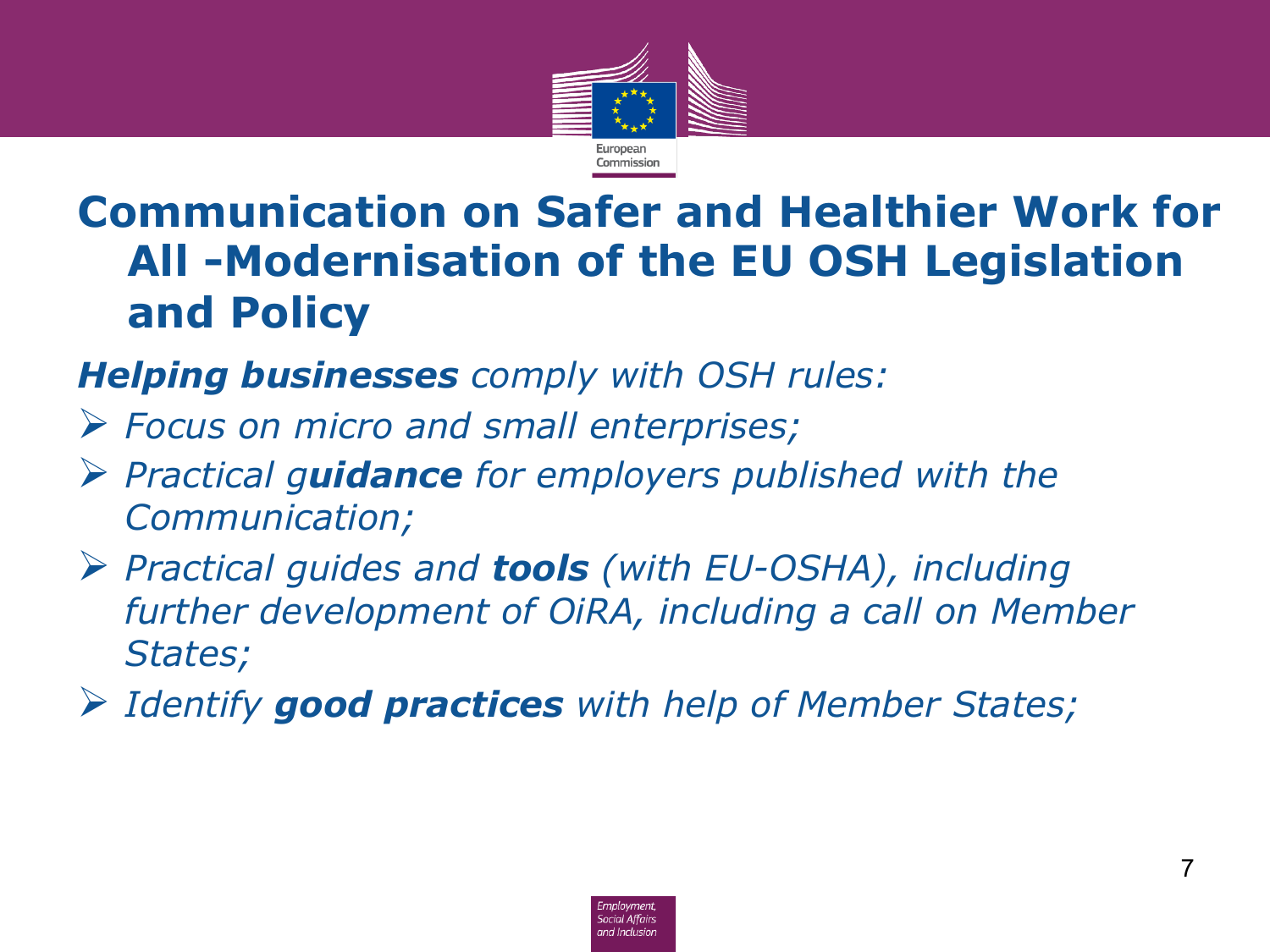

#### *Helping businesses comply with OSH rules:*

- Ø *Focus on micro and small enterprises;*
- Ø *Practical guidance for employers published with the Communication;*
- Ø *Practical guides and tools (with EU-OSHA), including further development of OiRA, including a call on Member States;*
- Ø *Identify good practices with help of Member States;*

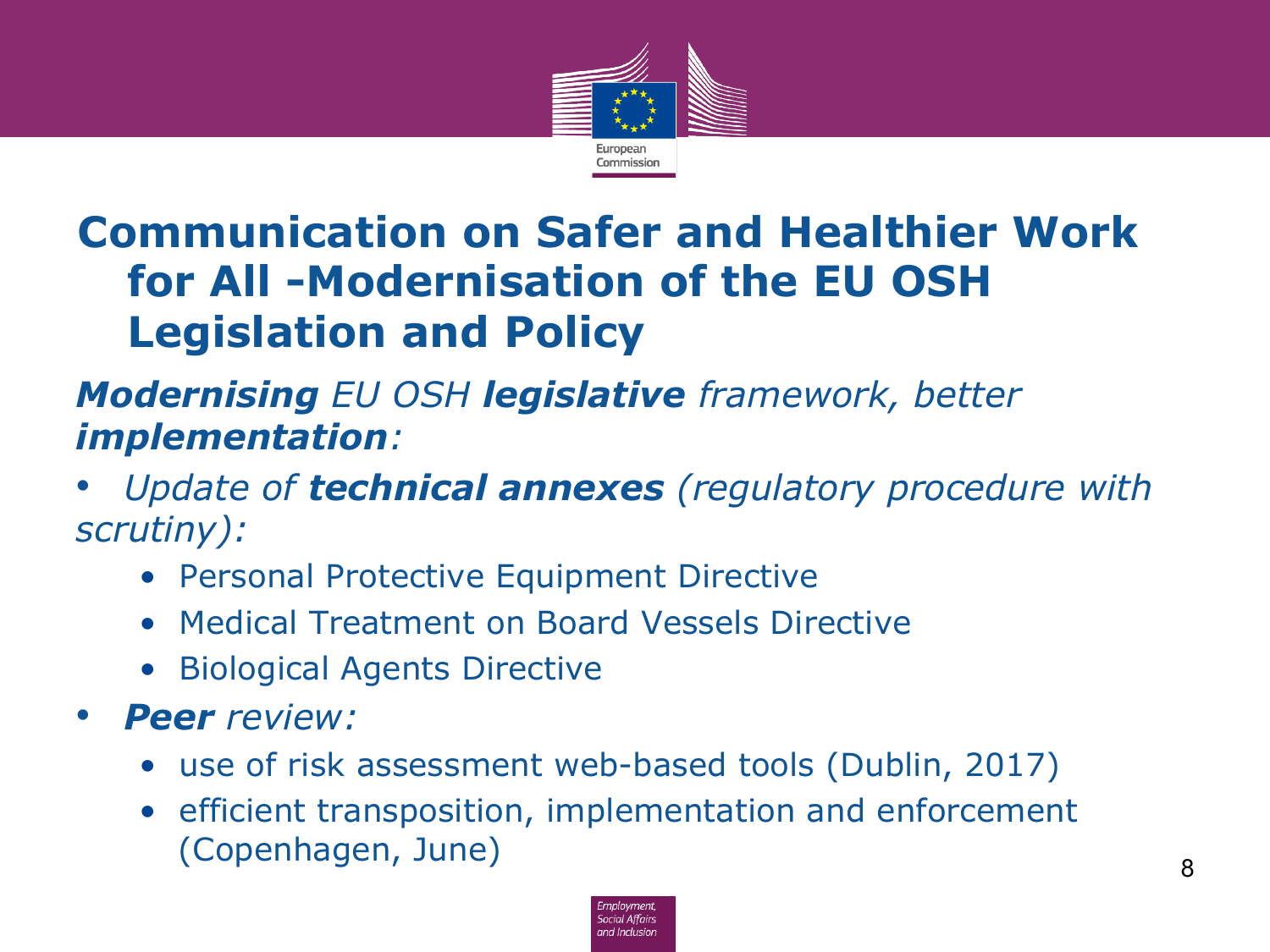

#### *Modernising EU OSH legislative framework, better implementation:*

• *Update of technical annexes (regulatory procedure with scrutiny):* 

- Personal Protective Equipment Directive
- Medical Treatment on Board Vessels Directive
- Biological Agents Directive
- *Peer review:* 
	- use of risk assessment web-based tools (Dublin, 2017)
	- efficient transposition, implementation and enforcement (Copenhagen, June) 8